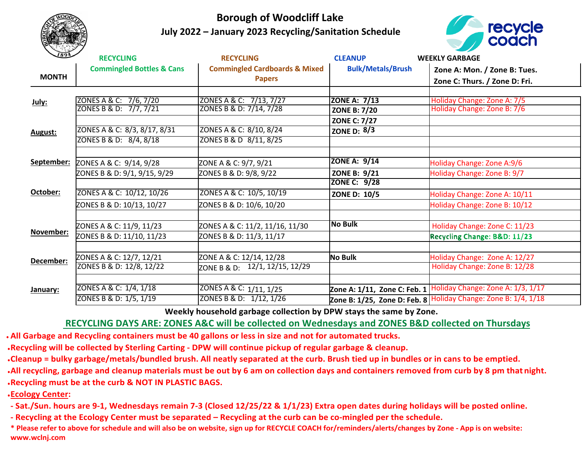

## **Borough of Woodcliff Lake July 2022 – January 2023 Recycling/Sanitation Schedule**



| 1894         | <b>RECYCLING</b>                     | <b>RECYCLING</b>                         | <b>CLEANUP</b>           | <b>WEEKLY GARBAGE</b>                                          |
|--------------|--------------------------------------|------------------------------------------|--------------------------|----------------------------------------------------------------|
| <b>MONTH</b> | <b>Commingled Bottles &amp; Cans</b> | <b>Commingled Cardboards &amp; Mixed</b> | <b>Bulk/Metals/Brush</b> | Zone A: Mon. / Zone B: Tues.                                   |
|              |                                      | <b>Papers</b>                            |                          | Zone C: Thurs. / Zone D: Fri.                                  |
|              |                                      |                                          |                          |                                                                |
| July:        | ZONES A & C: 7/6, 7/20               | ZONES A & C: 7/13, 7/27                  | <b>ZONE A: 7/13</b>      | Holiday Change: Zone A: 7/5                                    |
|              | ZONES B & D: 7/7, 7/21               | ZONES B & D: 7/14, 7/28                  | <b>ZONE B: 7/20</b>      | Holiday Change: Zone B: 7/6                                    |
| August:      |                                      |                                          | <b>ZONE C: 7/27</b>      |                                                                |
|              | ZONES A & C: 8/3, 8/17, 8/31         | ZONES A & C: 8/10, 8/24                  | ZONE D: $8/3$            |                                                                |
|              | ZONES B & D: 8/4, 8/18               | ZONES B & D 8/11, 8/25                   |                          |                                                                |
|              |                                      |                                          |                          |                                                                |
| September:   | ZONES A & C: 9/14, 9/28              | ZONE A & C: 9/7, 9/21                    | <b>ZONE A: 9/14</b>      | Holiday Change: Zone A:9/6                                     |
|              | ZONES B & D: 9/1, 9/15, 9/29         | ZONES B & D: 9/8, 9/22                   | <b>ZONE B: 9/21</b>      | Holiday Change: Zone B: 9/7                                    |
| October:     |                                      |                                          | ZONE C: 9/28             |                                                                |
|              | ZONES A & C: 10/12, 10/26            | ZONES A & C: 10/5, 10/19                 | <b>ZONE D: 10/5</b>      | Holiday Change: Zone A: 10/11                                  |
|              | ZONES B & D: 10/13, 10/27            | ZONES B & D: 10/6, 10/20                 |                          | Holiday Change: Zone B: 10/12                                  |
|              |                                      |                                          |                          |                                                                |
| November:    | ZONES A & C: 11/9, 11/23             | ZONES A & C: 11/2, 11/16, 11/30          | <b>No Bulk</b>           | Holiday Change: Zone C: 11/23                                  |
|              | ZONES B & D: 11/10, 11/23            | ZONES B & D: 11/3, 11/17                 |                          | Recycling Change: B&D: 11/23                                   |
|              |                                      |                                          |                          |                                                                |
| December:    | ZONES A & C: 12/7, 12/21             | ZONE A & C: 12/14, 12/28                 | <b>No Bulk</b>           | Holiday Change: Zone A: 12/27                                  |
|              | ZONES B & D: 12/8, 12/22             | ZONE B & D: 12/1, 12/15, 12/29           |                          | Holiday Change: Zone B: 12/28                                  |
| January:     |                                      |                                          |                          |                                                                |
|              | ZONES A & C: 1/4, 1/18               | ZONES A & C: 1/11, 1/25                  |                          | Zone A: 1/11, Zone C: Feb. 1 Holiday Change: Zone A: 1/3, 1/17 |
|              | ZONES B & D: 1/5, 1/19               | ZONES B & D: 1/12, 1/26                  |                          | Zone B: 1/25, Zone D: Feb. 8 Holiday Change: Zone B: 1/4, 1/18 |

 **Weekly household garbage collection by DPW stays the same by Zone.**

## **RECYCLING DAYS ARE: ZONES A&C will be collected on Wednesdays and ZONES B&D collected on Thursdays**

**● All Garbage and Recycling containers must be 40 gallons or less in size and not for automated trucks.**

**●Recycling will be collected by Sterling Carting - DPW will continue pickup of regular garbage & cleanup.**

**●Cleanup = bulky garbage/metals/bundled brush. All neatly separated at the curb. Brush tied up in bundles or in cans to be emptied.**

**●All recycling, garbage and cleanup materials must be out by 6 am on collection days and containers removed from curb by 8 pm that night. ●Recycling must be at the curb & NOT IN PLASTIC BAGS.** 

**●Ecology Center:**

**- Sat./Sun. hours are 9-1, Wednesdays remain 7-3 (Closed 12/25/22 & 1/1/23) Extra open dates during holidays will be posted online.**

**- Recycling at the Ecology Center must be separated – Recycling at the curb can be co-mingled per the schedule.**

\* Please refer to above for schedule and will also be on website, sign up for RECYCLE COACH for/reminders/alerts/changes by Zone - App is on website: **www.wclnj.com**